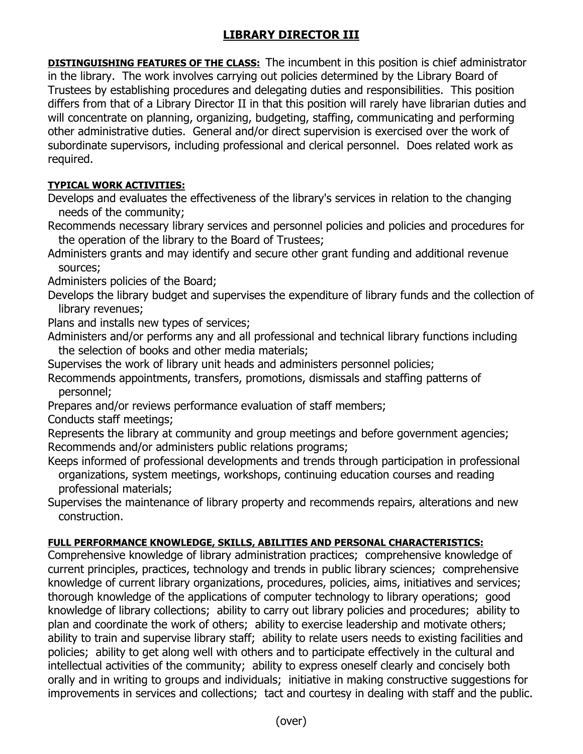## **LIBRARY DIRECTOR III**

**DISTINGUISHING FEATURES OF THE CLASS:** The incumbent in this position is chief administrator in the library. The work involves carrying out policies determined by the Library Board of Trustees by establishing procedures and delegating duties and responsibilities. This position differs from that of a Library Director II in that this position will rarely have librarian duties and will concentrate on planning, organizing, budgeting, staffing, communicating and performing other administrative duties. General and/or direct supervision is exercised over the work of subordinate supervisors, including professional and clerical personnel. Does related work as required.

## **TYPICAL WORK ACTIVITIES:**

Develops and evaluates the effectiveness of the library's services in relation to the changing needs of the community;

Recommends necessary library services and personnel policies and policies and procedures for the operation of the library to the Board of Trustees;

Administers grants and may identify and secure other grant funding and additional revenue sources;

- Administers policies of the Board;
- Develops the library budget and supervises the expenditure of library funds and the collection of library revenues;

Plans and installs new types of services;

Administers and/or performs any and all professional and technical library functions including the selection of books and other media materials;

Supervises the work of library unit heads and administers personnel policies;

- Recommends appointments, transfers, promotions, dismissals and staffing patterns of personnel;
- Prepares and/or reviews performance evaluation of staff members;

Conducts staff meetings;

Represents the library at community and group meetings and before government agencies; Recommends and/or administers public relations programs;

Keeps informed of professional developments and trends through participation in professional organizations, system meetings, workshops, continuing education courses and reading professional materials;

Supervises the maintenance of library property and recommends repairs, alterations and new construction.

## **FULL PERFORMANCE KNOWLEDGE, SKILLS, ABILITIES AND PERSONAL CHARACTERISTICS:**

Comprehensive knowledge of library administration practices; comprehensive knowledge of current principles, practices, technology and trends in public library sciences; comprehensive knowledge of current library organizations, procedures, policies, aims, initiatives and services; thorough knowledge of the applications of computer technology to library operations; good knowledge of library collections; ability to carry out library policies and procedures; ability to plan and coordinate the work of others; ability to exercise leadership and motivate others; ability to train and supervise library staff; ability to relate users needs to existing facilities and policies; ability to get along well with others and to participate effectively in the cultural and intellectual activities of the community; ability to express oneself clearly and concisely both orally and in writing to groups and individuals; initiative in making constructive suggestions for improvements in services and collections; tact and courtesy in dealing with staff and the public.